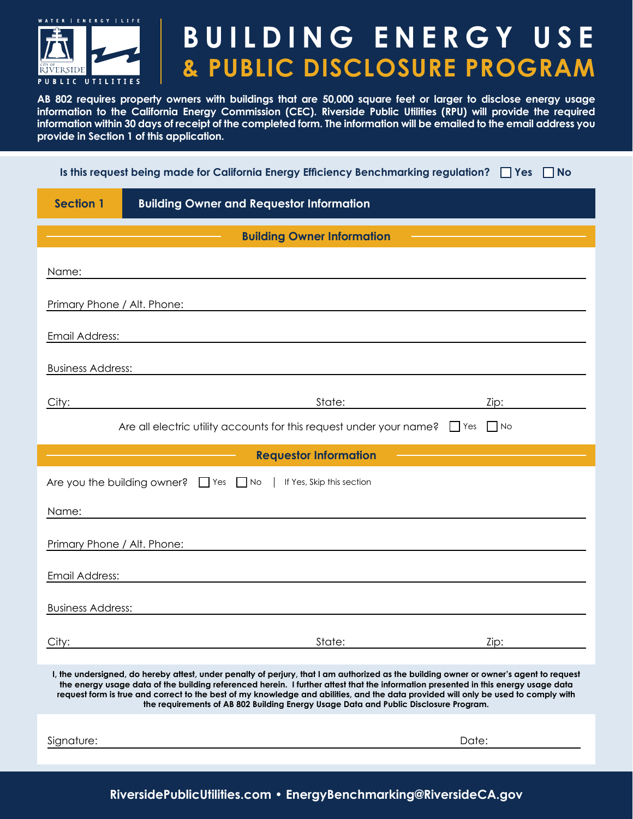

## **BUILDING ENERGY USE & PUBLIC DISCLOSURE PROGRAM**

**AB 802 requires property owners with buildings that are 50,000 square feet or larger to disclose energy usage information to the California Energy Commission (CEC). Riverside Public Utilities (RPU) will provide the required information within 30 days of receipt of the completed form. The information will be emailed to the email address you provide in Section 1 of this application.**

| Is this request being made for California Energy Efficiency Benchmarking regulation? $\Box$ Yes $\Box$ No |  |
|-----------------------------------------------------------------------------------------------------------|--|
|-----------------------------------------------------------------------------------------------------------|--|

| <b>Section 1</b><br><b>Building Owner and Requestor Information</b>                                                                                                                                                                                                                                                                                                                                                                                                                                        |  |  |  |  |
|------------------------------------------------------------------------------------------------------------------------------------------------------------------------------------------------------------------------------------------------------------------------------------------------------------------------------------------------------------------------------------------------------------------------------------------------------------------------------------------------------------|--|--|--|--|
| <b>Building Owner Information</b>                                                                                                                                                                                                                                                                                                                                                                                                                                                                          |  |  |  |  |
| Name:<br>,我们也不会有什么。""我们的人,我们也不会有什么?""我们的人,我们也不会有什么?""我们的人,我们也不会有什么?""我们的人,我们也不会有什么?""我们的人                                                                                                                                                                                                                                                                                                                                                                                                                  |  |  |  |  |
| Primary Phone / Alt. Phone:<br>the contract of the contract of the contract of the contract of the contract of the contract of the contract of                                                                                                                                                                                                                                                                                                                                                             |  |  |  |  |
| Email Address:                                                                                                                                                                                                                                                                                                                                                                                                                                                                                             |  |  |  |  |
| <b>Business Address:</b>                                                                                                                                                                                                                                                                                                                                                                                                                                                                                   |  |  |  |  |
| City: 2008 2014 2015 2016 2017 2020 2021 2022 2023 2024 2022 2022 2023 2024 2022 2023 2024 2022 2023 2024 2022<br>Zip:                                                                                                                                                                                                                                                                                                                                                                                     |  |  |  |  |
| Are all electric utility accounts for this request under your name? $\Box$ Yes $\Box$ No                                                                                                                                                                                                                                                                                                                                                                                                                   |  |  |  |  |
| <b>Requestor Information</b>                                                                                                                                                                                                                                                                                                                                                                                                                                                                               |  |  |  |  |
| Are you the building owner? If Yes No   If Yes, Skip this section                                                                                                                                                                                                                                                                                                                                                                                                                                          |  |  |  |  |
| Name:<br><u>a sa barang ang pagbabang nagarang pang</u> alang na manang pangangang nagarang pangangang na                                                                                                                                                                                                                                                                                                                                                                                                  |  |  |  |  |
| Primary Phone / Alt. Phone:                                                                                                                                                                                                                                                                                                                                                                                                                                                                                |  |  |  |  |
| Email Address:<br><u> 1989 - Andrea Andrew Maria (h. 1989).</u>                                                                                                                                                                                                                                                                                                                                                                                                                                            |  |  |  |  |
| <b>Business Address:</b>                                                                                                                                                                                                                                                                                                                                                                                                                                                                                   |  |  |  |  |
| State:<br>City:<br>Zip:                                                                                                                                                                                                                                                                                                                                                                                                                                                                                    |  |  |  |  |
| I, the undersigned, do hereby attest, under penalty of perjury, that I am authorized as the building owner or owner's agent to request<br>the energy usage data of the building referenced herein. I further attest that the information presented in this energy usage data<br>request form is true and correct to the best of my knowledge and abilities, and the data provided will only be used to comply with<br>the requirements of AB 802 Building Energy Usage Data and Public Disclosure Program. |  |  |  |  |
| Signature:<br>Date:                                                                                                                                                                                                                                                                                                                                                                                                                                                                                        |  |  |  |  |

**RiversidePublicUtilities.com • EnergyBenchmarking@RiversideCA.gov**